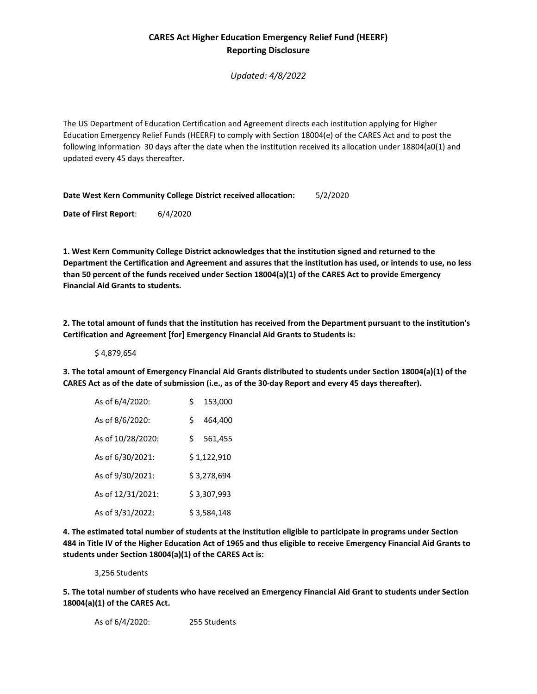# **CARES Act Higher Education Emergency Relief Fund (HEERF) Reporting Disclosure**

*Updated: 4/8/2022*

The US Department of Education Certification and Agreement directs each institution applying for Higher Education Emergency Relief Funds (HEERF) to comply with Section 18004(e) of the CARES Act and to post the following information 30 days after the date when the institution received its allocation under 18804(a0(1) and updated every 45 days thereafter.

**Date West Kern Community College District received allocation:** 5/2/2020

**Date of First Report**: 6/4/2020

**1. West Kern Community College District acknowledges that the institution signed and returned to the Department the Certification and Agreement and assures that the institution has used, or intends to use, no less than 50 percent of the funds received under Section 18004(a)(1) of the CARES Act to provide Emergency Financial Aid Grants to students.**

**2. The total amount of funds that the institution has received from the Department pursuant to the institution's Certification and Agreement [for] Emergency Financial Aid Grants to Students is:** 

\$ 4,879,654

**3. The total amount of Emergency Financial Aid Grants distributed to students under Section 18004(a)(1) of the CARES Act as of the date of submission (i.e., as of the 30-day Report and every 45 days thereafter).**

| As of 6/4/2020:   | Ś           | 153,000     |
|-------------------|-------------|-------------|
| As of 8/6/2020:   | Ś           | 464,400     |
| As of 10/28/2020: | Ś.          | 561,455     |
| As of 6/30/2021:  |             | \$1,122,910 |
| As of 9/30/2021:  | \$3,278,694 |             |
| As of 12/31/2021: | \$3,307,993 |             |
| As of 3/31/2022:  | \$3,584,148 |             |

**4. The estimated total number of students at the institution eligible to participate in programs under Section 484 in Title IV of the Higher Education Act of 1965 and thus eligible to receive Emergency Financial Aid Grants to students under Section 18004(a)(1) of the CARES Act is:**

3,256 Students

**5. The total number of students who have received an Emergency Financial Aid Grant to students under Section 18004(a)(1) of the CARES Act.**

As of 6/4/2020: 255 Students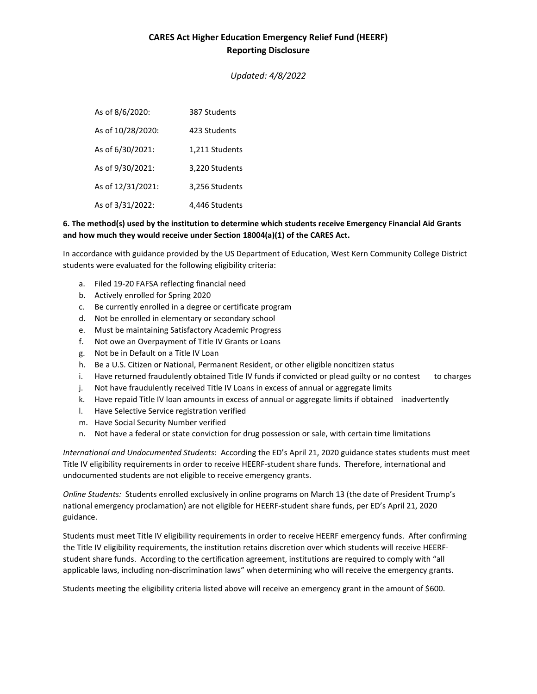### **CARES Act Higher Education Emergency Relief Fund (HEERF) Reporting Disclosure**

*Updated: 4/8/2022*

As of 8/6/2020: 387 Students As of 10/28/2020: 423 Students As of 6/30/2021: 1,211 Students As of 9/30/2021: 3,220 Students As of 12/31/2021: 3,256 Students As of 3/31/2022: 4,446 Students

#### **6. The method(s) used by the institution to determine which students receive Emergency Financial Aid Grants and how much they would receive under Section 18004(a)(1) of the CARES Act.**

In accordance with guidance provided by the US Department of Education, West Kern Community College District students were evaluated for the following eligibility criteria:

- a. Filed 19-20 FAFSA reflecting financial need
- b. Actively enrolled for Spring 2020
- c. Be currently enrolled in a degree or certificate program
- d. Not be enrolled in elementary or secondary school
- e. Must be maintaining Satisfactory Academic Progress
- f. Not owe an Overpayment of Title IV Grants or Loans
- g. Not be in Default on a Title IV Loan
- h. Be a U.S. Citizen or National, Permanent Resident, or other eligible noncitizen status
- i. Have returned fraudulently obtained Title IV funds if convicted or plead guilty or no contest to charges
- j. Not have fraudulently received Title IV Loans in excess of annual or aggregate limits
- k. Have repaid Title IV loan amounts in excess of annual or aggregate limits if obtained inadvertently
- l. Have Selective Service registration verified
- m. Have Social Security Number verified
- n. Not have a federal or state conviction for drug possession or sale, with certain time limitations

*International and Undocumented Students*: According the ED's April 21, 2020 guidance states students must meet Title IV eligibility requirements in order to receive HEERF-student share funds. Therefore, international and undocumented students are not eligible to receive emergency grants.

*Online Students:* Students enrolled exclusively in online programs on March 13 (the date of President Trump's national emergency proclamation) are not eligible for HEERF-student share funds, per ED's April 21, 2020 guidance.

Students must meet Title IV eligibility requirements in order to receive HEERF emergency funds. After confirming the Title IV eligibility requirements, the institution retains discretion over which students will receive HEERFstudent share funds. According to the certification agreement, institutions are required to comply with "all applicable laws, including non-discrimination laws" when determining who will receive the emergency grants.

Students meeting the eligibility criteria listed above will receive an emergency grant in the amount of \$600.